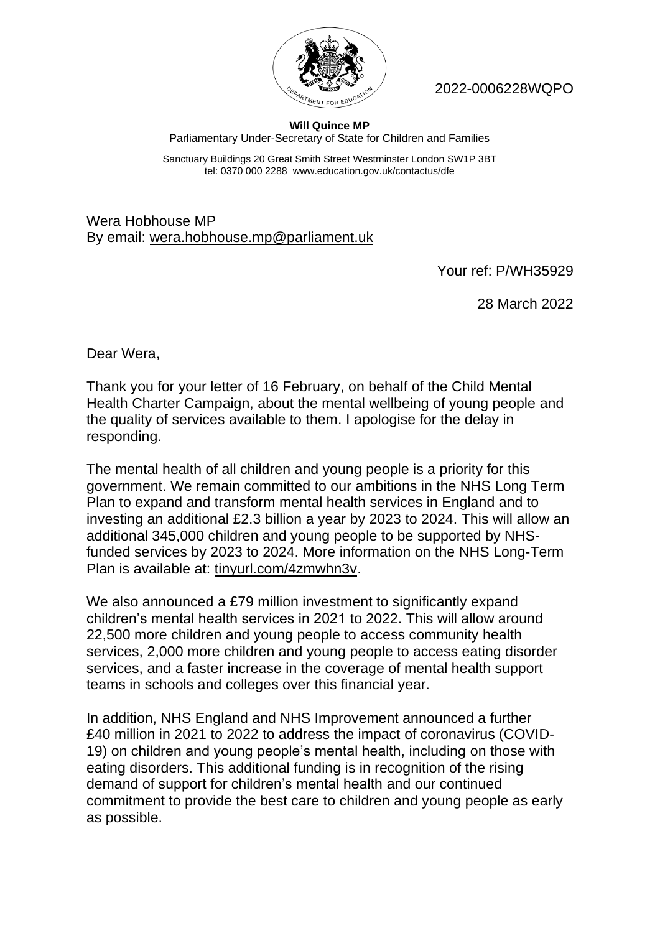

2022-0006228WQPO

## **Will Quince MP** Parliamentary Under-Secretary of State for Children and Families

Sanctuary Buildings 20 Great Smith Street Westminster London SW1P 3BT tel: 0370 000 2288 www.education.gov.uk/contactus/dfe

Wera Hobhouse MP By email: wera.hobhouse.mp@parliament.uk

Your ref: P/WH35929

28 March 2022

Dear Wera,

Thank you for your letter of 16 February, on behalf of the Child Mental Health Charter Campaign, about the mental wellbeing of young people and the quality of services available to them. I apologise for the delay in responding.

The mental health of all children and young people is a priority for this government. We remain committed to our ambitions in the NHS Long Term Plan to expand and transform mental health services in England and to investing an additional £2.3 billion a year by 2023 to 2024. This will allow an additional 345,000 children and young people to be supported by NHSfunded services by 2023 to 2024. More information on the NHS Long-Term Plan is available at: tinyurl.com/4zmwhn3v.

We also announced a £79 million investment to significantly expand children's mental health services in 2021 to 2022. This will allow around 22,500 more children and young people to access community health services, 2,000 more children and young people to access eating disorder services, and a faster increase in the coverage of mental health support teams in schools and colleges over this financial year.

In addition, NHS England and NHS Improvement announced a further £40 million in 2021 to 2022 to address the impact of coronavirus (COVID-19) on children and young people's mental health, including on those with eating disorders. This additional funding is in recognition of the rising demand of support for children's mental health and our continued commitment to provide the best care to children and young people as early as possible.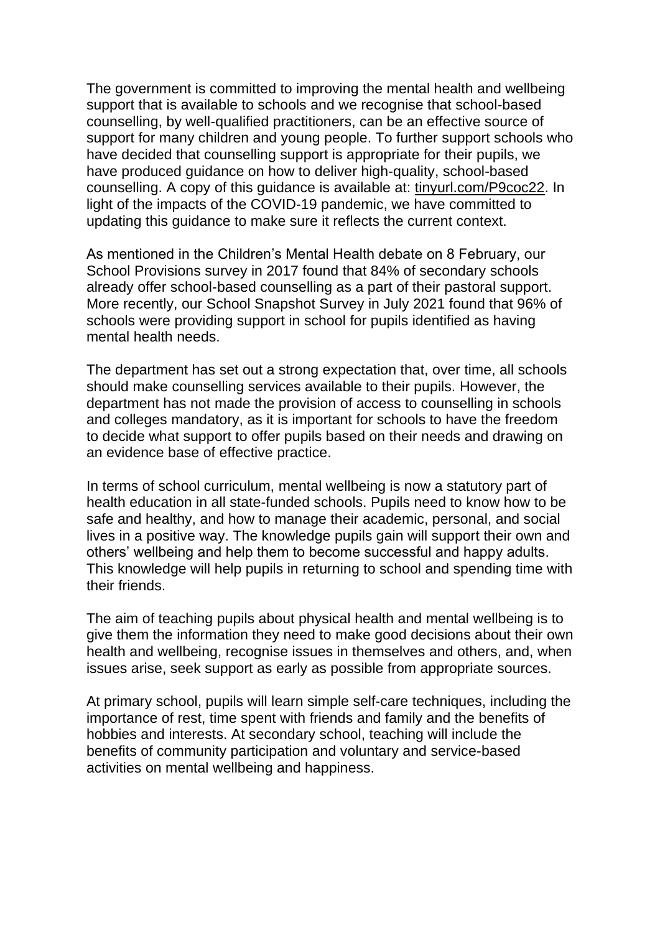The government is committed to improving the mental health and wellbeing support that is available to schools and we recognise that school-based counselling, by well-qualified practitioners, can be an effective source of support for many children and young people. To further support schools who have decided that counselling support is appropriate for their pupils, we have produced guidance on how to deliver high-quality, school-based counselling. A copy of this guidance is available at: tinyurl.com/P9coc22. In light of the impacts of the COVID-19 pandemic, we have committed to updating this guidance to make sure it reflects the current context.

As mentioned in the Children's Mental Health debate on 8 February, our School Provisions survey in 2017 found that 84% of secondary schools already offer school-based counselling as a part of their pastoral support. More recently, our School Snapshot Survey in July 2021 found that 96% of schools were providing support in school for pupils identified as having mental health needs.

The department has set out a strong expectation that, over time, all schools should make counselling services available to their pupils. However, the department has not made the provision of access to counselling in schools and colleges mandatory, as it is important for schools to have the freedom to decide what support to offer pupils based on their needs and drawing on an evidence base of effective practice.

In terms of school curriculum, mental wellbeing is now a statutory part of health education in all state-funded schools. Pupils need to know how to be safe and healthy, and how to manage their academic, personal, and social lives in a positive way. The knowledge pupils gain will support their own and others' wellbeing and help them to become successful and happy adults. This knowledge will help pupils in returning to school and spending time with their friends.

The aim of teaching pupils about physical health and mental wellbeing is to give them the information they need to make good decisions about their own health and wellbeing, recognise issues in themselves and others, and, when issues arise, seek support as early as possible from appropriate sources.

At primary school, pupils will learn simple self-care techniques, including the importance of rest, time spent with friends and family and the benefits of hobbies and interests. At secondary school, teaching will include the benefits of community participation and voluntary and service-based activities on mental wellbeing and happiness.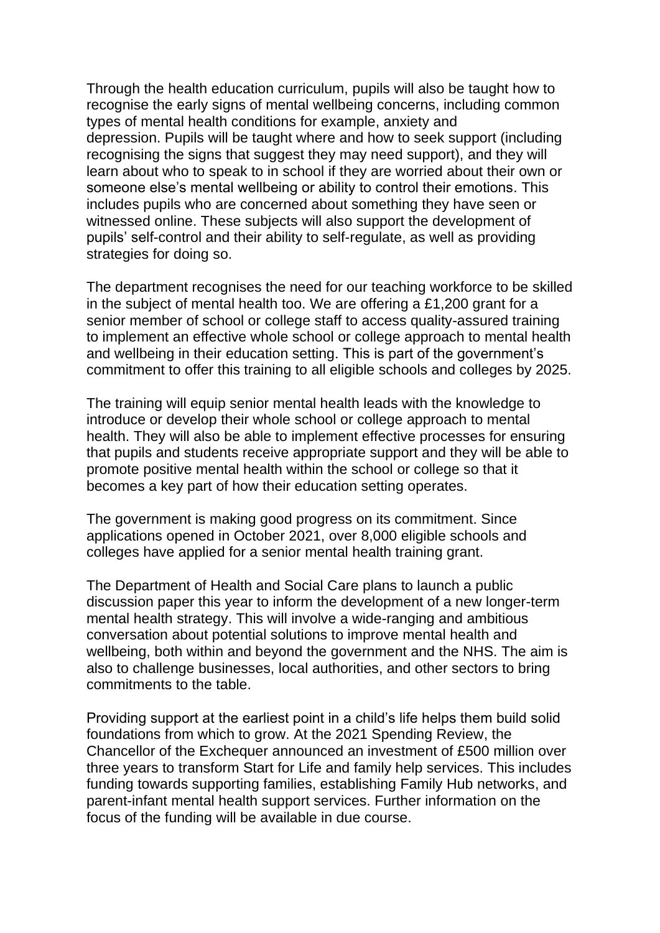Through the health education curriculum, pupils will also be taught how to recognise the early signs of mental wellbeing concerns, including common types of mental health conditions for example, anxiety and depression. Pupils will be taught where and how to seek support (including recognising the signs that suggest they may need support), and they will learn about who to speak to in school if they are worried about their own or someone else's mental wellbeing or ability to control their emotions. This includes pupils who are concerned about something they have seen or witnessed online. These subjects will also support the development of pupils' self-control and their ability to self-regulate, as well as providing strategies for doing so.

The department recognises the need for our teaching workforce to be skilled in the subject of mental health too. We are offering a £1,200 grant for a senior member of school or college staff to access quality-assured training to implement an effective whole school or college approach to mental health and wellbeing in their education setting. This is part of the government's commitment to offer this training to all eligible schools and colleges by 2025.

The training will equip senior mental health leads with the knowledge to introduce or develop their whole school or college approach to mental health. They will also be able to implement effective processes for ensuring that pupils and students receive appropriate support and they will be able to promote positive mental health within the school or college so that it becomes a key part of how their education setting operates.

The government is making good progress on its commitment. Since applications opened in October 2021, over 8,000 eligible schools and colleges have applied for a senior mental health training grant.

The Department of Health and Social Care plans to launch a public discussion paper this year to inform the development of a new longer-term mental health strategy. This will involve a wide-ranging and ambitious conversation about potential solutions to improve mental health and wellbeing, both within and beyond the government and the NHS. The aim is also to challenge businesses, local authorities, and other sectors to bring commitments to the table.

Providing support at the earliest point in a child's life helps them build solid foundations from which to grow. At the 2021 Spending Review, the Chancellor of the Exchequer announced an investment of £500 million over three years to transform Start for Life and family help services. This includes funding towards supporting families, establishing Family Hub networks, and parent-infant mental health support services. Further information on the focus of the funding will be available in due course.